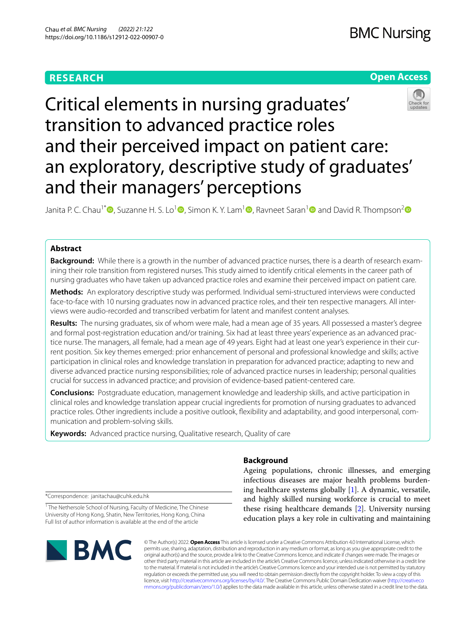# **RESEARCH**

# **Open Access**



Critical elements in nursing graduates' transition to advanced practice roles and their perceived impact on patient care: an exploratory, descriptive study of graduates' and their managers' perceptions

Janita P. C. Chau<sup>1\*</sup><sup>®</sup>[,](http://orcid.org/0000-0002-3750-7396) Suzanne H. S. Lo<sup>[1](http://orcid.org/0000-0002-1021-5852)</sup><sup>®</sup>, Simon K. Y. Lam<sup>1</sup><sup>®</sup>, Ravneet Saran<sup>1</sup><sup>®</sup> and David R. Thompson<sup>2</sup><sup>®</sup>

# **Abstract**

**Background:** While there is a growth in the number of advanced practice nurses, there is a dearth of research examining their role transition from registered nurses. This study aimed to identify critical elements in the career path of nursing graduates who have taken up advanced practice roles and examine their perceived impact on patient care.

**Methods:** An exploratory descriptive study was performed. Individual semi-structured interviews were conducted face-to-face with 10 nursing graduates now in advanced practice roles, and their ten respective managers. All interviews were audio-recorded and transcribed verbatim for latent and manifest content analyses.

**Results:** The nursing graduates, six of whom were male, had a mean age of 35 years. All possessed a master's degree and formal post-registration education and/or training. Six had at least three years' experience as an advanced practice nurse. The managers, all female, had a mean age of 49 years. Eight had at least one year's experience in their current position. Six key themes emerged: prior enhancement of personal and professional knowledge and skills; active participation in clinical roles and knowledge translation in preparation for advanced practice; adapting to new and diverse advanced practice nursing responsibilities; role of advanced practice nurses in leadership; personal qualities crucial for success in advanced practice; and provision of evidence-based patient-centered care.

**Conclusions:** Postgraduate education, management knowledge and leadership skills, and active participation in clinical roles and knowledge translation appear crucial ingredients for promotion of nursing graduates to advanced practice roles. Other ingredients include a positive outlook, fexibility and adaptability, and good interpersonal, communication and problem-solving skills.

**Keywords:** Advanced practice nursing, Qualitative research, Quality of care

# **Background**

Ageing populations, chronic illnesses, and emerging infectious diseases are major health problems burdening healthcare systems globally [[1\]](#page-6-0). A dynamic, versatile, and highly skilled nursing workforce is crucial to meet these rising healthcare demands [\[2](#page-6-1)]. University nursing education plays a key role in cultivating and maintaining

\*Correspondence: janitachau@cuhk.edu.hk

<sup>1</sup> The Nethersole School of Nursing, Faculty of Medicine, The Chinese University of Hong Kong, Shatin, New Territories, Hong Kong, China Full list of author information is available at the end of the article



© The Author(s) 2022. **Open Access** This article is licensed under a Creative Commons Attribution 4.0 International License, which permits use, sharing, adaptation, distribution and reproduction in any medium or format, as long as you give appropriate credit to the original author(s) and the source, provide a link to the Creative Commons licence, and indicate if changes were made. The images or other third party material in this article are included in the article's Creative Commons licence, unless indicated otherwise in a credit line to the material. If material is not included in the article's Creative Commons licence and your intended use is not permitted by statutory regulation or exceeds the permitted use, you will need to obtain permission directly from the copyright holder. To view a copy of this licence, visit [http://creativecommons.org/licenses/by/4.0/.](http://creativecommons.org/licenses/by/4.0/) The Creative Commons Public Domain Dedication waiver ([http://creativeco](http://creativecommons.org/publicdomain/zero/1.0/) [mmons.org/publicdomain/zero/1.0/](http://creativecommons.org/publicdomain/zero/1.0/)) applies to the data made available in this article, unless otherwise stated in a credit line to the data.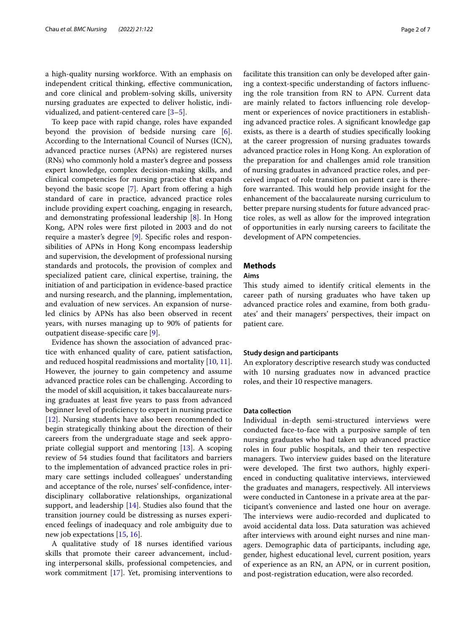a high-quality nursing workforce. With an emphasis on independent critical thinking, efective communication, and core clinical and problem-solving skills, university nursing graduates are expected to deliver holistic, individualized, and patient-centered care  $[3-5]$  $[3-5]$ .

To keep pace with rapid change, roles have expanded beyond the provision of bedside nursing care [\[6](#page-6-4)]. According to the International Council of Nurses (ICN), advanced practice nurses (APNs) are registered nurses (RNs) who commonly hold a master's degree and possess expert knowledge, complex decision-making skills, and clinical competencies for nursing practice that expands beyond the basic scope  $[7]$  $[7]$ . Apart from offering a high standard of care in practice, advanced practice roles include providing expert coaching, engaging in research, and demonstrating professional leadership [\[8](#page-6-6)]. In Hong Kong, APN roles were frst piloted in 2003 and do not require a master's degree [\[9](#page-6-7)]. Specifc roles and responsibilities of APNs in Hong Kong encompass leadership and supervision, the development of professional nursing standards and protocols, the provision of complex and specialized patient care, clinical expertise, training, the initiation of and participation in evidence-based practice and nursing research, and the planning, implementation, and evaluation of new services. An expansion of nurseled clinics by APNs has also been observed in recent years, with nurses managing up to 90% of patients for outpatient disease-specifc care [[9\]](#page-6-7).

Evidence has shown the association of advanced practice with enhanced quality of care, patient satisfaction, and reduced hospital readmissions and mortality [[10,](#page-6-8) [11](#page-6-9)]. However, the journey to gain competency and assume advanced practice roles can be challenging. According to the model of skill acquisition, it takes baccalaureate nursing graduates at least fve years to pass from advanced beginner level of profciency to expert in nursing practice [[12\]](#page-6-10). Nursing students have also been recommended to begin strategically thinking about the direction of their careers from the undergraduate stage and seek appropriate collegial support and mentoring [[13](#page-6-11)]. A scoping review of 54 studies found that facilitators and barriers to the implementation of advanced practice roles in primary care settings included colleagues' understanding and acceptance of the role, nurses' self-confdence, interdisciplinary collaborative relationships, organizational support, and leadership [[14\]](#page-6-12). Studies also found that the transition journey could be distressing as nurses experienced feelings of inadequacy and role ambiguity due to new job expectations [\[15](#page-6-13), [16](#page-6-14)].

A qualitative study of 18 nurses identifed various skills that promote their career advancement, including interpersonal skills, professional competencies, and work commitment [[17\]](#page-6-15). Yet, promising interventions to facilitate this transition can only be developed after gaining a context-specifc understanding of factors infuenc-

ing the role transition from RN to APN. Current data are mainly related to factors infuencing role development or experiences of novice practitioners in establishing advanced practice roles. A signifcant knowledge gap exists, as there is a dearth of studies specifcally looking at the career progression of nursing graduates towards advanced practice roles in Hong Kong. An exploration of the preparation for and challenges amid role transition of nursing graduates in advanced practice roles, and perceived impact of role transition on patient care is therefore warranted. This would help provide insight for the enhancement of the baccalaureate nursing curriculum to better prepare nursing students for future advanced practice roles, as well as allow for the improved integration of opportunities in early nursing careers to facilitate the development of APN competencies.

# **Methods**

### **Aims**

This study aimed to identify critical elements in the career path of nursing graduates who have taken up advanced practice roles and examine, from both graduates' and their managers' perspectives, their impact on patient care.

### **Study design and participants**

An exploratory descriptive research study was conducted with 10 nursing graduates now in advanced practice roles, and their 10 respective managers.

# **Data collection**

Individual in-depth semi-structured interviews were conducted face-to-face with a purposive sample of ten nursing graduates who had taken up advanced practice roles in four public hospitals, and their ten respective managers. Two interview guides based on the literature were developed. The first two authors, highly experienced in conducting qualitative interviews, interviewed the graduates and managers, respectively. All interviews were conducted in Cantonese in a private area at the participant's convenience and lasted one hour on average. The interviews were audio-recorded and duplicated to avoid accidental data loss. Data saturation was achieved after interviews with around eight nurses and nine managers. Demographic data of participants, including age, gender, highest educational level, current position, years of experience as an RN, an APN, or in current position, and post-registration education, were also recorded.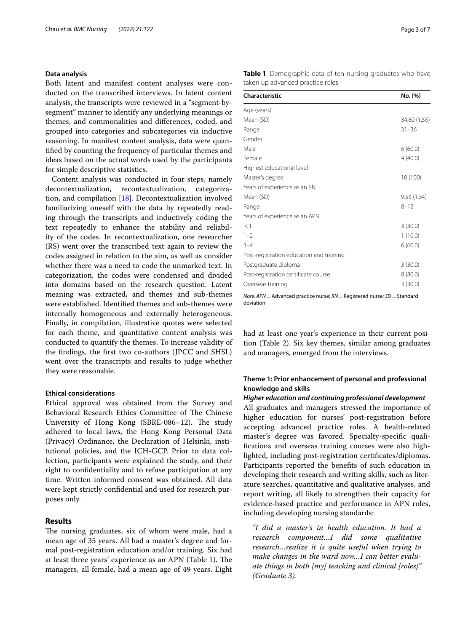### **Data analysis**

Both latent and manifest content analyses were conducted on the transcribed interviews. In latent content analysis, the transcripts were reviewed in a "segment-bysegment" manner to identify any underlying meanings or themes, and commonalities and diferences, coded, and grouped into categories and subcategories via inductive reasoning. In manifest content analysis, data were quantifed by counting the frequency of particular themes and ideas based on the actual words used by the participants for simple descriptive statistics.

Content analysis was conducted in four steps, namely decontextualization, recontextualization, categorization, and compilation [[18\]](#page-6-16). Decontextualization involved familiarizing oneself with the data by repeatedly reading through the transcripts and inductively coding the text repeatedly to enhance the stability and reliability of the codes. In recontextualization, one researcher (RS) went over the transcribed text again to review the codes assigned in relation to the aim, as well as consider whether there was a need to code the unmarked text. In categorization, the codes were condensed and divided into domains based on the research question. Latent meaning was extracted, and themes and sub-themes were established. Identifed themes and sub-themes were internally homogeneous and externally heterogeneous. Finally, in compilation, illustrative quotes were selected for each theme, and quantitative content analysis was conducted to quantify the themes. To increase validity of the fndings, the frst two co-authors (JPCC and SHSL) went over the transcripts and results to judge whether they were reasonable.

### **Ethical considerations**

Ethical approval was obtained from the Survey and Behavioral Research Ethics Committee of The Chinese University of Hong Kong (SBRE-086-12). The study adhered to local laws, the Hong Kong Personal Data (Privacy) Ordinance, the Declaration of Helsinki, institutional policies, and the ICH-GCP. Prior to data collection, participants were explained the study, and their right to confdentiality and to refuse participation at any time. Written informed consent was obtained. All data were kept strictly confdential and used for research purposes only.

## **Results**

The nursing graduates, six of whom were male, had a mean age of 35 years. All had a master's degree and formal post-registration education and/or training. Six had at least three years' experience as an APN (Table [1\)](#page-2-0). The managers, all female, had a mean age of 49 years. Eight <span id="page-2-0"></span>**Table 1** Demographic data of ten nursing graduates who have taken up advanced practice roles

| Characteristic                           | No. (%)      |
|------------------------------------------|--------------|
| Age (years)                              |              |
| Mean (SD)                                | 34.80 (1.55) |
| Range                                    | $31 - 36$    |
| Gender                                   |              |
| Male                                     | 6(60.0)      |
| Female                                   | 4(40.0)      |
| Highest educational level                |              |
| Master's degree                          | 10 (100)     |
| Years of experience as an RN             |              |
| Mean (SD)                                | 9.53 (1.34)  |
| Range                                    | $8 - 12$     |
| Years of experience as an APN            |              |
| <1                                       | 3(30.0)      |
| $1 - 2$                                  | 1(10.0)      |
| $3 - 4$                                  | 6(60.0)      |
| Post-registration education and training |              |
| Postgraduate diploma                     | 3(30.0)      |
| Post-registration certificate course     | 8(80.0)      |
| Overseas training                        | 3(30.0)      |

*Note. APN*=Advanced practice nurse; *RN*=Registered nurse; *SD*=Standard deviation

had at least one year's experience in their current position (Table [2](#page-3-0)). Six key themes, similar among graduates and managers, emerged from the interviews.

# **Theme 1: Prior enhancement of personal and professional knowledge and skills**

### *Higher education and continuing professional development*

All graduates and managers stressed the importance of higher education for nurses' post-registration before accepting advanced practice roles. A health-related master's degree was favored. Specialty-specifc qualifcations and overseas training courses were also highlighted, including post-registration certifcates/diplomas. Participants reported the benefts of such education in developing their research and writing skills, such as literature searches, quantitative and qualitative analyses, and report writing, all likely to strengthen their capacity for evidence-based practice and performance in APN roles, including developing nursing standards:

*"I did a master's in health education. It had a research component…I did some qualitative research…realize it is quite useful when trying to make changes in the ward now…I can better evaluate things in both [my] teaching and clinical [roles]." (Graduate 3).*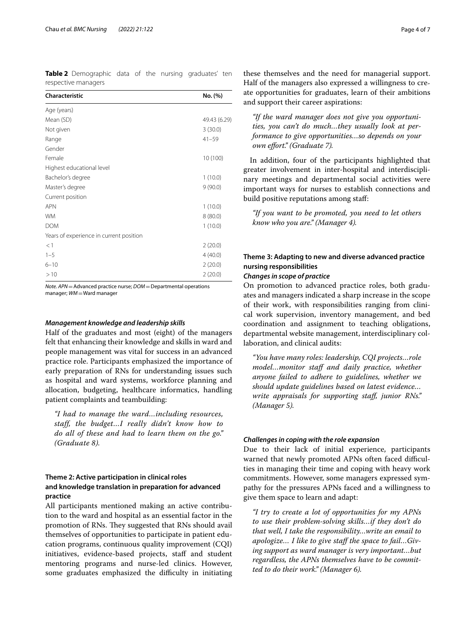<span id="page-3-0"></span>**Table 2** Demographic data of the nursing graduates' ten respective managers

| Characteristic                          | No. (%)      |
|-----------------------------------------|--------------|
| Age (years)                             |              |
| Mean (SD)                               | 49.43 (6.29) |
| Not given                               | 3(30.0)      |
| Range                                   | $41 - 59$    |
| Gender                                  |              |
| Female                                  | 10 (100)     |
| Highest educational level               |              |
| Bachelor's degree                       | 1(10.0)      |
| Master's degree                         | 9(90.0)      |
| Current position                        |              |
| <b>APN</b>                              | 1(10.0)      |
| <b>WM</b>                               | 8(80.0)      |
| <b>DOM</b>                              | 1(10.0)      |
| Years of experience in current position |              |
| <1                                      | 2(20.0)      |
| $1 - 5$                                 | 4(40.0)      |
| $6 - 10$                                | 2(20.0)      |
| >10                                     | 2(20.0)      |

*Note. APN*=Advanced practice nurse; *DOM*=Departmental operations manager; *WM* = Ward manager

### *Management knowledge and leadership skills*

Half of the graduates and most (eight) of the managers felt that enhancing their knowledge and skills in ward and people management was vital for success in an advanced practice role. Participants emphasized the importance of early preparation of RNs for understanding issues such as hospital and ward systems, workforce planning and allocation, budgeting, healthcare informatics, handling patient complaints and teambuilding:

*"I had to manage the ward…including resources, staff, the budget…I really didn't know how to do all of these and had to learn them on the go." (Graduate 8).*

# **Theme 2: Active participation in clinical roles and knowledge translation in preparation for advanced practice**

All participants mentioned making an active contribution to the ward and hospital as an essential factor in the promotion of RNs. They suggested that RNs should avail themselves of opportunities to participate in patient education programs, continuous quality improvement (CQI) initiatives, evidence-based projects, staff and student mentoring programs and nurse-led clinics. However, some graduates emphasized the difficulty in initiating

these themselves and the need for managerial support. Half of the managers also expressed a willingness to create opportunities for graduates, learn of their ambitions and support their career aspirations:

*"If the ward manager does not give you opportunities, you can't do much…they usually look at performance to give opportunities…so depends on your own efort." (Graduate 7).*

In addition, four of the participants highlighted that greater involvement in inter-hospital and interdisciplinary meetings and departmental social activities were important ways for nurses to establish connections and build positive reputations among staf:

*"If you want to be promoted, you need to let others know who you are." (Manager 4).*

# **Theme 3: Adapting to new and diverse advanced practice nursing responsibilities**

### *Changes in scope of practice*

On promotion to advanced practice roles, both graduates and managers indicated a sharp increase in the scope of their work, with responsibilities ranging from clinical work supervision, inventory management, and bed coordination and assignment to teaching obligations, departmental website management, interdisciplinary collaboration, and clinical audits:

*"You have many roles: leadership, CQI projects…role model...monitor staff and daily practice, whether anyone failed to adhere to guidelines, whether we should update guidelines based on latest evidence… write appraisals for supporting staf, junior RNs." (Manager 5).*

### *Challenges in coping with the role expansion*

Due to their lack of initial experience, participants warned that newly promoted APNs often faced difficulties in managing their time and coping with heavy work commitments. However, some managers expressed sympathy for the pressures APNs faced and a willingness to give them space to learn and adapt:

*"I try to create a lot of opportunities for my APNs to use their problem-solving skills…if they don't do that well, I take the responsibility…write an email to apologize… I like to give staf the space to fail…Giving support as ward manager is very important…but regardless, the APNs themselves have to be committed to do their work." (Manager 6).*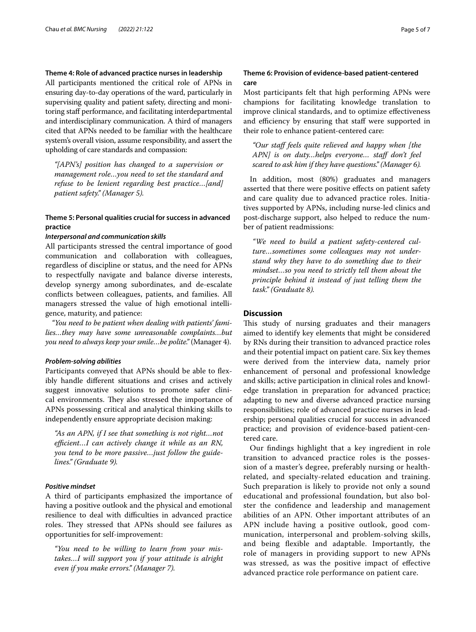### **Theme 4: Role of advanced practice nurses in leadership**

All participants mentioned the critical role of APNs in ensuring day-to-day operations of the ward, particularly in supervising quality and patient safety, directing and monitoring staf performance, and facilitating interdepartmental and interdisciplinary communication. A third of managers cited that APNs needed to be familiar with the healthcare system's overall vision, assume responsibility, and assert the upholding of care standards and compassion:

*"[APN's] position has changed to a supervision or management role…you need to set the standard and refuse to be lenient regarding best practice…[and] patient safety." (Manager 5).*

# **Theme 5: Personal qualities crucial for success in advanced practice**

#### *Interpersonal and communication skills*

All participants stressed the central importance of good communication and collaboration with colleagues, regardless of discipline or status, and the need for APNs to respectfully navigate and balance diverse interests, develop synergy among subordinates, and de-escalate conficts between colleagues, patients, and families. All managers stressed the value of high emotional intelligence, maturity, and patience:

*"You need to be patient when dealing with patients' families…they may have some unreasonable complaints…but you need to always keep your smile…be polite."* (Manager 4).

### *Problem‑solving abilities*

Participants conveyed that APNs should be able to fexibly handle diferent situations and crises and actively suggest innovative solutions to promote safer clinical environments. They also stressed the importance of APNs possessing critical and analytical thinking skills to independently ensure appropriate decision making:

*"As an APN, if I see that something is not right…not*  efficient...I can actively change it while as an RN, *you tend to be more passive…just follow the guidelines." (Graduate 9).*

### *Positive mindset*

A third of participants emphasized the importance of having a positive outlook and the physical and emotional resilience to deal with difficulties in advanced practice roles. They stressed that APNs should see failures as opportunities for self-improvement:

*"You need to be willing to learn from your mistakes…I will support you if your attitude is alright even if you make errors." (Manager 7).*

## **Theme 6: Provision of evidence‑based patient‑centered care**

Most participants felt that high performing APNs were champions for facilitating knowledge translation to improve clinical standards, and to optimize efectiveness and efficiency by ensuring that staff were supported in their role to enhance patient-centered care:

*"Our staf feels quite relieved and happy when [the APN] is on duty…helps everyone… staf don't feel scared to ask him if they have questions." (Manager 6).*

In addition, most (80%) graduates and managers asserted that there were positive efects on patient safety and care quality due to advanced practice roles. Initiatives supported by APNs, including nurse-led clinics and post-discharge support, also helped to reduce the number of patient readmissions:

*"We need to build a patient safety-centered culture…sometimes some colleagues may not understand why they have to do something due to their mindset…so you need to strictly tell them about the principle behind it instead of just telling them the task." (Graduate 8).*

## **Discussion**

This study of nursing graduates and their managers aimed to identify key elements that might be considered by RNs during their transition to advanced practice roles and their potential impact on patient care. Six key themes were derived from the interview data, namely prior enhancement of personal and professional knowledge and skills; active participation in clinical roles and knowledge translation in preparation for advanced practice; adapting to new and diverse advanced practice nursing responsibilities; role of advanced practice nurses in leadership; personal qualities crucial for success in advanced practice; and provision of evidence-based patient-centered care.

Our fndings highlight that a key ingredient in role transition to advanced practice roles is the possession of a master's degree, preferably nursing or healthrelated, and specialty-related education and training. Such preparation is likely to provide not only a sound educational and professional foundation, but also bolster the confdence and leadership and management abilities of an APN. Other important attributes of an APN include having a positive outlook, good communication, interpersonal and problem-solving skills, and being fexible and adaptable. Importantly, the role of managers in providing support to new APNs was stressed, as was the positive impact of efective advanced practice role performance on patient care.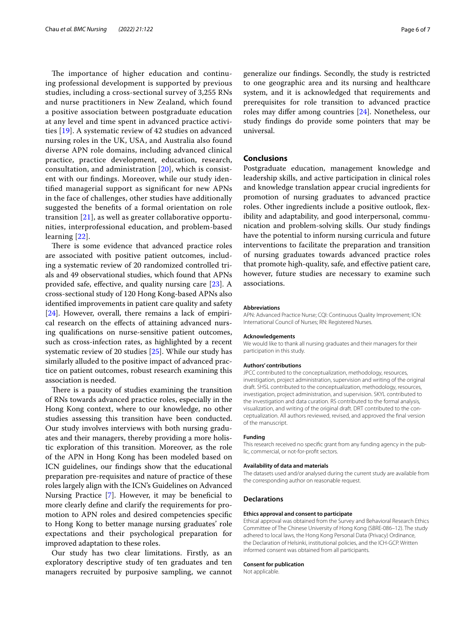The importance of higher education and continuing professional development is supported by previous studies, including a cross-sectional survey of 3,255 RNs and nurse practitioners in New Zealand, which found a positive association between postgraduate education at any level and time spent in advanced practice activities [\[19](#page-6-17)]. A systematic review of 42 studies on advanced nursing roles in the UK, USA, and Australia also found diverse APN role domains, including advanced clinical practice, practice development, education, research, consultation, and administration [\[20](#page-6-18)], which is consistent with our fndings. Moreover, while our study identifed managerial support as signifcant for new APNs in the face of challenges, other studies have additionally suggested the benefts of a formal orientation on role transition [[21\]](#page-6-19), as well as greater collaborative opportunities, interprofessional education, and problem-based learning [\[22](#page-6-20)].

There is some evidence that advanced practice roles are associated with positive patient outcomes, including a systematic review of 20 randomized controlled trials and 49 observational studies, which found that APNs provided safe, efective, and quality nursing care [\[23\]](#page-6-21). A cross-sectional study of 120 Hong Kong-based APNs also identifed improvements in patient care quality and safety [[24\]](#page-6-22). However, overall, there remains a lack of empirical research on the efects of attaining advanced nursing qualifcations on nurse-sensitive patient outcomes, such as cross-infection rates, as highlighted by a recent systematic review of 20 studies [[25](#page-6-23)]. While our study has similarly alluded to the positive impact of advanced practice on patient outcomes, robust research examining this association is needed.

There is a paucity of studies examining the transition of RNs towards advanced practice roles, especially in the Hong Kong context, where to our knowledge, no other studies assessing this transition have been conducted. Our study involves interviews with both nursing graduates and their managers, thereby providing a more holistic exploration of this transition. Moreover, as the role of the APN in Hong Kong has been modeled based on ICN guidelines, our fndings show that the educational preparation pre-requisites and nature of practice of these roles largely align with the ICN's Guidelines on Advanced Nursing Practice [[7\]](#page-6-5). However, it may be benefcial to more clearly defne and clarify the requirements for promotion to APN roles and desired competencies specifc to Hong Kong to better manage nursing graduates' role expectations and their psychological preparation for improved adaptation to these roles.

Our study has two clear limitations. Firstly, as an exploratory descriptive study of ten graduates and ten managers recruited by purposive sampling, we cannot generalize our fndings. Secondly, the study is restricted to one geographic area and its nursing and healthcare system, and it is acknowledged that requirements and prerequisites for role transition to advanced practice roles may difer among countries [[24](#page-6-22)]. Nonetheless, our study fndings do provide some pointers that may be universal.

### **Conclusions**

Postgraduate education, management knowledge and leadership skills, and active participation in clinical roles and knowledge translation appear crucial ingredients for promotion of nursing graduates to advanced practice roles. Other ingredients include a positive outlook, fexibility and adaptability, and good interpersonal, communication and problem-solving skills. Our study fndings have the potential to inform nursing curricula and future interventions to facilitate the preparation and transition of nursing graduates towards advanced practice roles that promote high-quality, safe, and efective patient care, however, future studies are necessary to examine such associations.

#### **Abbreviations**

APN: Advanced Practice Nurse; CQI: Continuous Quality Improvement; ICN: International Council of Nurses; RN: Registered Nurses.

#### **Acknowledgements**

We would like to thank all nursing graduates and their managers for their participation in this study.

#### **Authors' contributions**

JPCC contributed to the conceptualization, methodology, resources, investigation, project administration, supervision and writing of the original draft. SHSL contributed to the conceptualization, methodology, resources, investigation, project administration, and supervision. SKYL contributed to the investigation and data curation. RS contributed to the formal analysis, visualization, and writing of the original draft. DRT contributed to the conceptualization. All authors reviewed, revised, and approved the fnal version of the manuscript.

#### **Funding**

This research received no specifc grant from any funding agency in the public, commercial, or not-for-proft sectors.

#### **Availability of data and materials**

The datasets used and/or analysed during the current study are available from the corresponding author on reasonable request.

#### **Declarations**

### **Ethics approval and consent to participate**

Ethical approval was obtained from the Survey and Behavioral Research Ethics Committee of The Chinese University of Hong Kong (SBRE-086–12). The study adhered to local laws, the Hong Kong Personal Data (Privacy) Ordinance, the Declaration of Helsinki, institutional policies, and the ICH-GCP. Written informed consent was obtained from all participants.

#### **Consent for publication**

Not applicable.